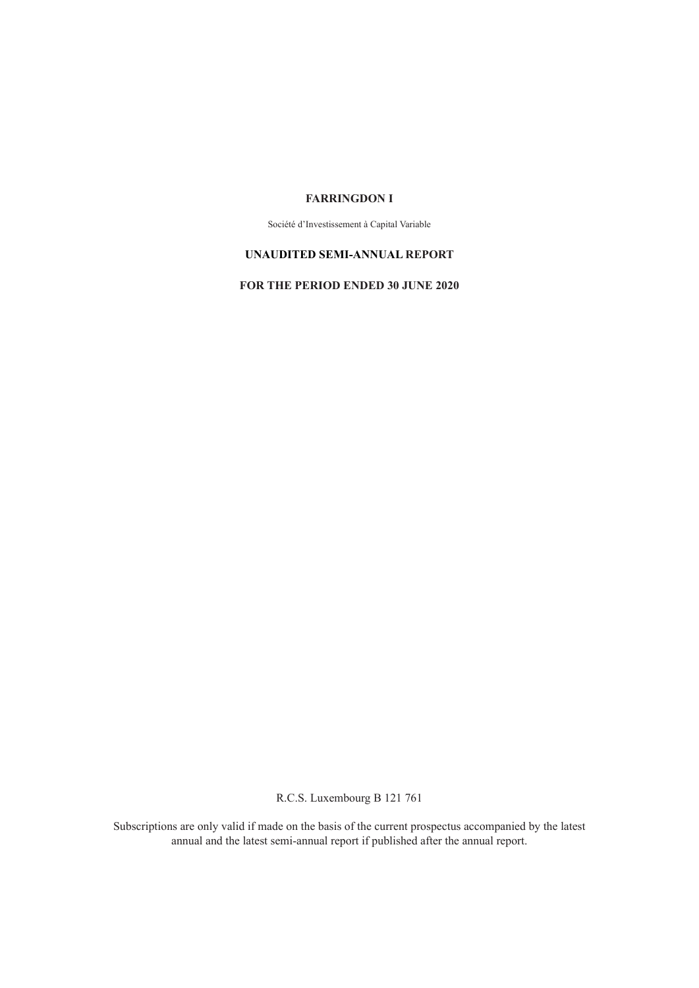### **FARRINGDON I**

Société d'Investissement à Capital Variable

### **UNAUDITED SEMI-ANNUAL REPORT**

**FOR THE PERIOD ENDED 30 JUNE 2020**

R.C.S. Luxembourg B 121 761

Subscriptions are only valid if made on the basis of the current prospectus accompanied by the latest annual and the latest semi-annual report if published after the annual report.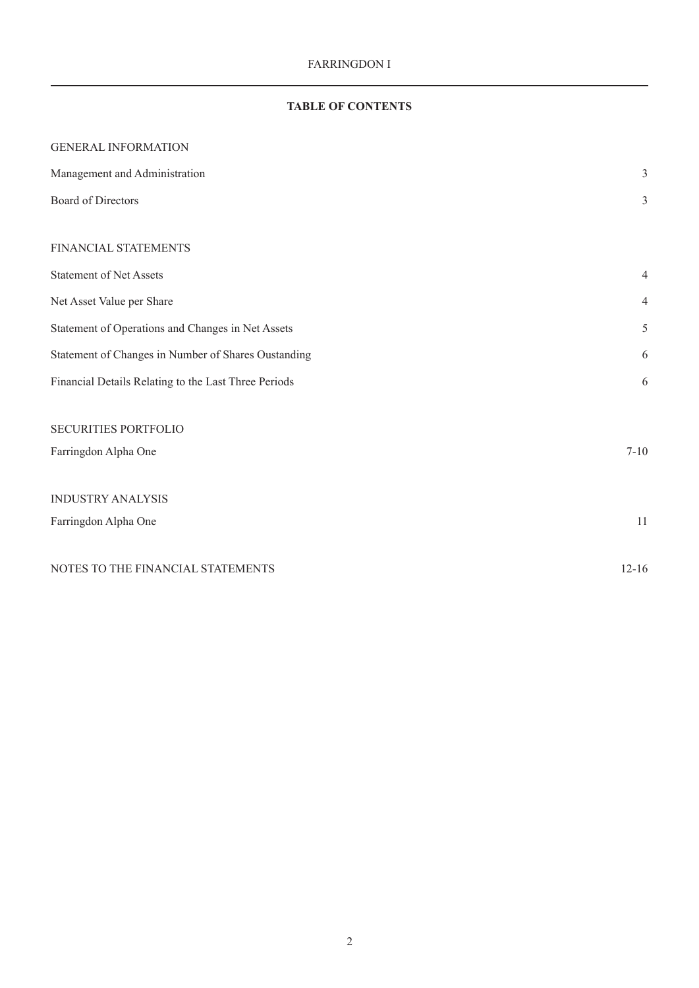# **TABLE OF CONTENTS**

| <b>GENERAL INFORMATION</b>                           |                |
|------------------------------------------------------|----------------|
| Management and Administration                        | 3              |
| Board of Directors                                   | 3              |
|                                                      |                |
| FINANCIAL STATEMENTS                                 |                |
| <b>Statement of Net Assets</b>                       | 4              |
| Net Asset Value per Share                            | $\overline{4}$ |
| Statement of Operations and Changes in Net Assets    | 5              |
| Statement of Changes in Number of Shares Oustanding  | 6              |
| Financial Details Relating to the Last Three Periods | 6              |
| <b>SECURITIES PORTFOLIO</b>                          |                |
| Farringdon Alpha One                                 | $7 - 10$       |
|                                                      |                |
| <b>INDUSTRY ANALYSIS</b>                             |                |
| Farringdon Alpha One                                 | 11             |
| NOTES TO THE FINANCIAL STATEMENTS                    | $12 - 16$      |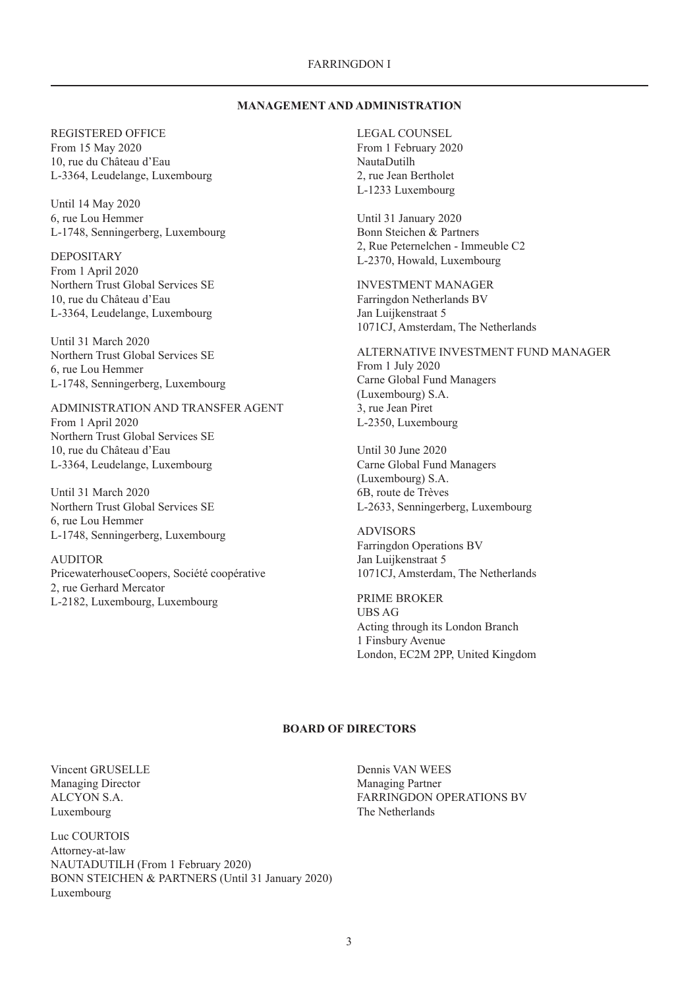#### FARRINGDON I

#### **MANAGEMENT AND ADMINISTRATION**

<span id="page-2-0"></span>REGISTERED OFFICE From 15 May 2020 10, rue du Château d'Eau L-3364, Leudelange, Luxembourg

Until 14 May 2020 6, rue Lou Hemmer L-1748, Senningerberg, Luxembourg

DEPOSITARY From 1 April 2020 Northern Trust Global Services SE 10, rue du Château d'Eau L-3364, Leudelange, Luxembourg

Until 31 March 2020 Northern Trust Global Services SE 6, rue Lou Hemmer L-1748, Senningerberg, Luxembourg

ADMINISTRATION AND TRANSFER AGENT From 1 April 2020 Northern Trust Global Services SE 10, rue du Château d'Eau L-3364, Leudelange, Luxembourg

Until 31 March 2020 Northern Trust Global Services SE 6, rue Lou Hemmer L-1748, Senningerberg, Luxembourg

AUDITOR PricewaterhouseCoopers, Société coopérative 2, rue Gerhard Mercator L-2182, Luxembourg, Luxembourg

LEGAL COUNSEL From 1 February 2020 NautaDutilh 2, rue Jean Bertholet L-1233 Luxembourg

Until 31 January 2020 Bonn Steichen & Partners 2, Rue Peternelchen - Immeuble C2 L-2370, Howald, Luxembourg

INVESTMENT MANAGER Farringdon Netherlands BV Jan Luijkenstraat 5 1071CJ, Amsterdam, The Netherlands

ALTERNATIVE INVESTMENT FUND MANAGER From 1 July 2020 Carne Global Fund Managers (Luxembourg) S.A. 3, rue Jean Piret L-2350, Luxembourg

Until 30 June 2020 Carne Global Fund Managers (Luxembourg) S.A. 6B, route de Trèves L-2633, Senningerberg, Luxembourg

ADVISORS Farringdon Operations BV Jan Luijkenstraat 5 1071CJ, Amsterdam, The Netherlands

PRIME BROKER UBS AG Acting through its London Branch 1 Finsbury Avenue London, EC2M 2PP, United Kingdom

## **BOARD OF DIRECTORS**

Vincent GRUSELLE Managing Director ALCYON S.A. Luxembourg

Luc COURTOIS Attorney-at-law NAUTADUTILH (From 1 February 2020) BONN STEICHEN & PARTNERS (Until 31 January 2020) Luxembourg

Dennis VAN WEES Managing Partner FARRINGDON OPERATIONS BV The Netherlands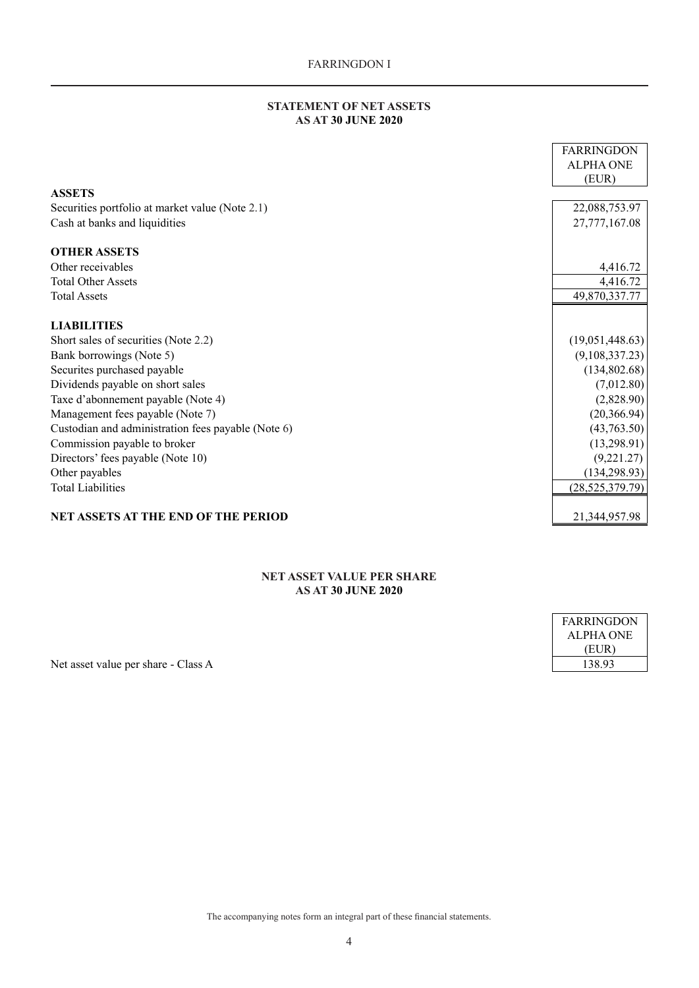## **STATEMENT OF NET ASSETS AS AT 30 JUNE 2020**

<span id="page-3-0"></span>

|                                                    | <b>FARRINGDON</b> |
|----------------------------------------------------|-------------------|
|                                                    | <b>ALPHA ONE</b>  |
|                                                    | (EUR)             |
| <b>ASSETS</b>                                      |                   |
| Securities portfolio at market value (Note 2.1)    | 22,088,753.97     |
| Cash at banks and liquidities                      | 27,777,167.08     |
| <b>OTHER ASSETS</b>                                |                   |
| Other receivables                                  | 4,416.72          |
| <b>Total Other Assets</b>                          | 4,416.72          |
| <b>Total Assets</b>                                | 49,870,337.77     |
| <b>LIABILITIES</b>                                 |                   |
| Short sales of securities (Note 2.2)               | (19,051,448.63)   |
| Bank borrowings (Note 5)                           | (9,108,337.23)    |
| Securites purchased payable                        | (134,802.68)      |
| Dividends payable on short sales                   | (7,012.80)        |
| Taxe d'abonnement payable (Note 4)                 | (2,828.90)        |
| Management fees payable (Note 7)                   | (20, 366.94)      |
| Custodian and administration fees payable (Note 6) | (43,763.50)       |
| Commission payable to broker                       | (13, 298.91)      |
| Directors' fees payable (Note 10)                  | (9,221.27)        |
| Other payables                                     | (134, 298.93)     |
| <b>Total Liabilities</b>                           | (28, 525, 379.79) |
|                                                    |                   |
| <b>NET ASSETS AT THE END OF THE PERIOD</b>         | 21,344,957.98     |

### **NET ASSET VALUE PER SHARE AS AT 30 JUNE 2020**

| FARRINGDON |
|------------|
| ALPHA ONE  |
| (EUR)      |
| 138.93     |

Net asset value per share - Class A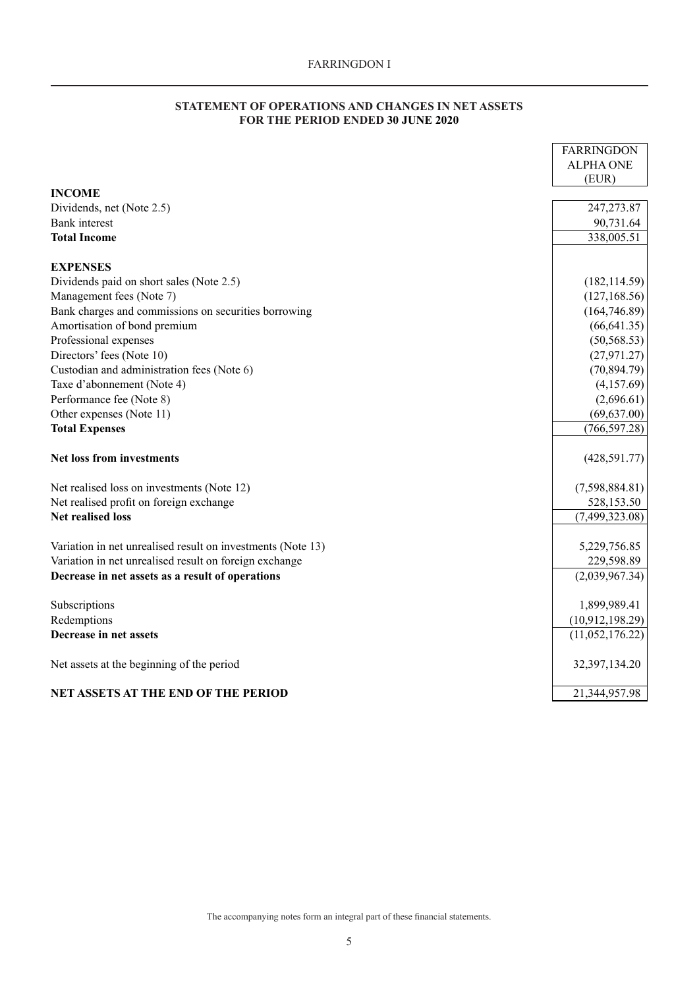## **STATEMENT OF OPERATIONS AND CHANGES IN NET ASSETS FOR THE PERIOD ENDED 30 JUNE 2020**

<span id="page-4-0"></span>

|                                                             | <b>FARRINGDON</b> |
|-------------------------------------------------------------|-------------------|
|                                                             | <b>ALPHA ONE</b>  |
|                                                             | (EUR)             |
| <b>INCOME</b>                                               |                   |
| Dividends, net (Note 2.5)                                   | 247, 273. 87      |
| <b>Bank</b> interest                                        | 90,731.64         |
| <b>Total Income</b>                                         | 338,005.51        |
| <b>EXPENSES</b>                                             |                   |
| Dividends paid on short sales (Note 2.5)                    | (182, 114.59)     |
| Management fees (Note 7)                                    | (127, 168.56)     |
| Bank charges and commissions on securities borrowing        | (164, 746.89)     |
| Amortisation of bond premium                                | (66, 641.35)      |
| Professional expenses                                       | (50, 568.53)      |
| Directors' fees (Note 10)                                   | (27, 971.27)      |
| Custodian and administration fees (Note 6)                  | (70, 894.79)      |
| Taxe d'abonnement (Note 4)                                  | (4,157.69)        |
| Performance fee (Note 8)                                    | (2,696.61)        |
| Other expenses (Note 11)                                    | (69, 637.00)      |
| <b>Total Expenses</b>                                       | (766, 597.28)     |
| <b>Net loss from investments</b>                            | (428, 591.77)     |
| Net realised loss on investments (Note 12)                  | (7,598,884.81)    |
| Net realised profit on foreign exchange                     | 528,153.50        |
| <b>Net realised loss</b>                                    | (7,499,323.08)    |
| Variation in net unrealised result on investments (Note 13) | 5,229,756.85      |
| Variation in net unrealised result on foreign exchange      | 229,598.89        |
| Decrease in net assets as a result of operations            | (2,039,967.34)    |
| Subscriptions                                               | 1,899,989.41      |
| Redemptions                                                 | (10,912,198.29)   |
| Decrease in net assets                                      | (11,052,176.22)   |
| Net assets at the beginning of the period                   | 32,397,134.20     |
| <b>NET ASSETS AT THE END OF THE PERIOD</b>                  | 21,344,957.98     |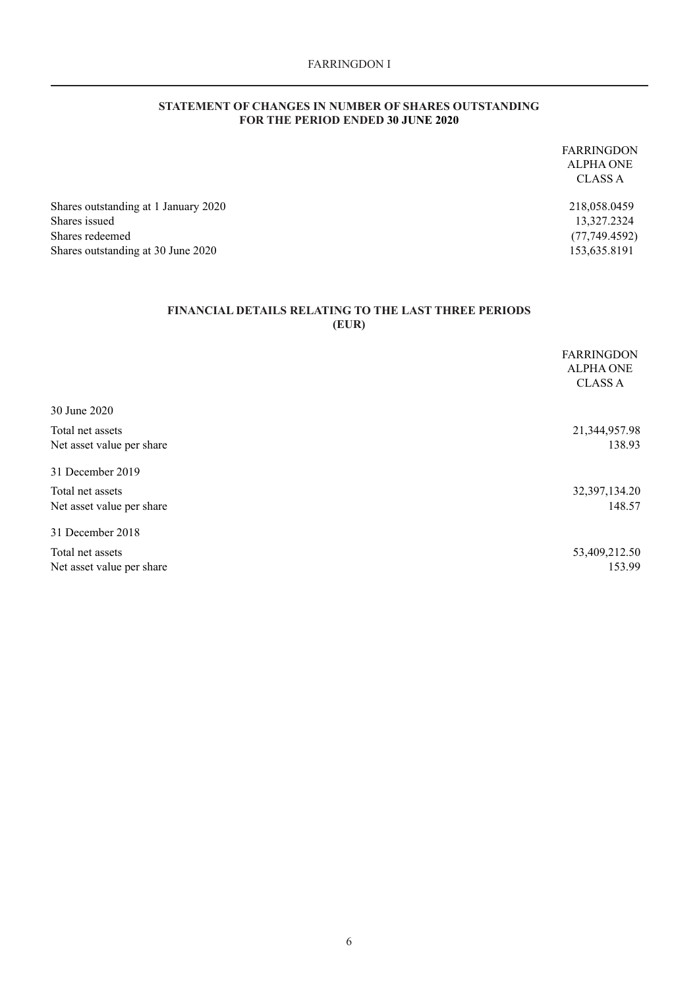### **STATEMENT OF CHANGES IN NUMBER OF SHARES OUTSTANDING FOR THE PERIOD ENDED 30 JUNE 2020**

<span id="page-5-0"></span>FARRINGDON ALPHA ONE CLASS A Shares outstanding at 1 January 2020 218,058.0459 Shares issued 13,327.2324 Shares redeemed (77,749.4592) Shares outstanding at 30 June 2020 153,635.8191

## **FINANCIAL DETAILS RELATING TO THE LAST THREE PERIODS (EUR)**

|                           | <b>FARRINGDON</b><br><b>ALPHA ONE</b><br><b>CLASS A</b> |
|---------------------------|---------------------------------------------------------|
| 30 June 2020              |                                                         |
| Total net assets          | 21,344,957.98                                           |
| Net asset value per share | 138.93                                                  |
| 31 December 2019          |                                                         |
| Total net assets          | 32,397,134.20                                           |
| Net asset value per share | 148.57                                                  |
| 31 December 2018          |                                                         |
| Total net assets          | 53,409,212.50                                           |
| Net asset value per share | 153.99                                                  |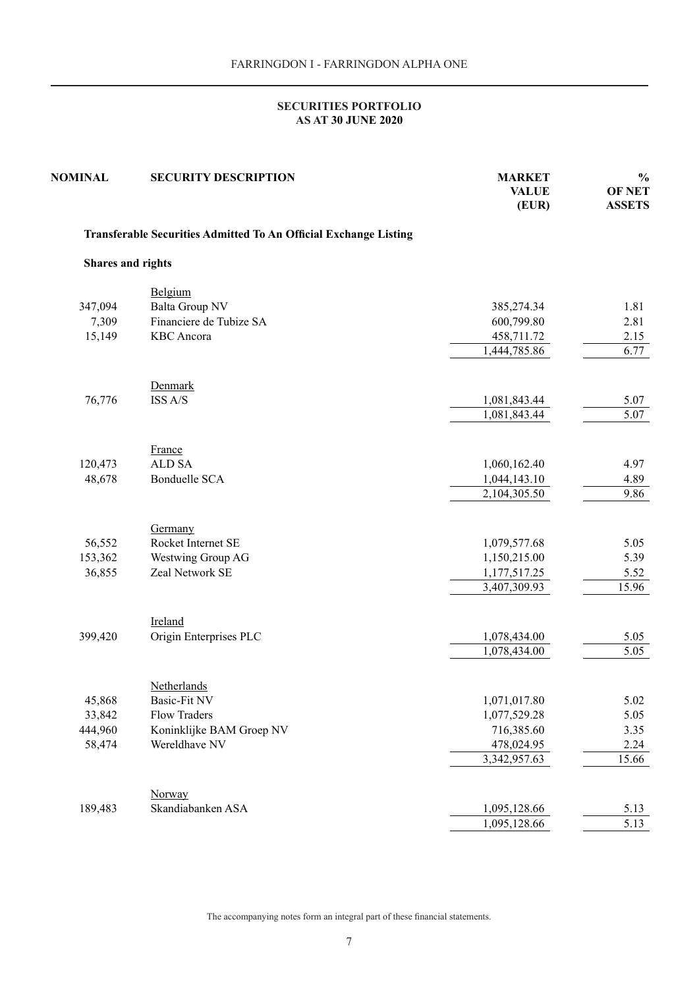<span id="page-6-0"></span>

| <b>NOMINAL</b>           | <b>SECURITY DESCRIPTION</b>                                      | <b>MARKET</b><br><b>VALUE</b><br>(EUR) | $\frac{0}{0}$<br><b>OF NET</b><br><b>ASSETS</b> |
|--------------------------|------------------------------------------------------------------|----------------------------------------|-------------------------------------------------|
|                          | Transferable Securities Admitted To An Official Exchange Listing |                                        |                                                 |
| <b>Shares and rights</b> |                                                                  |                                        |                                                 |
|                          | Belgium                                                          |                                        |                                                 |
| 347,094                  | Balta Group NV                                                   | 385,274.34                             | 1.81                                            |
| 7,309                    | Financiere de Tubize SA                                          | 600,799.80                             | 2.81                                            |
| 15,149                   | <b>KBC</b> Ancora                                                | 458,711.72                             | 2.15                                            |
|                          |                                                                  | 1,444,785.86                           | 6.77                                            |
|                          | Denmark                                                          |                                        |                                                 |
| 76,776                   | ISS A/S                                                          | 1,081,843.44                           | 5.07                                            |
|                          |                                                                  | 1,081,843.44                           | 5.07                                            |
|                          | France                                                           |                                        |                                                 |
| 120,473                  | <b>ALD SA</b>                                                    | 1,060,162.40                           | 4.97                                            |
| 48,678                   | <b>Bonduelle SCA</b>                                             | 1,044,143.10                           | 4.89                                            |
|                          |                                                                  | 2,104,305.50                           | 9.86                                            |
|                          |                                                                  |                                        |                                                 |
|                          | Germany                                                          |                                        |                                                 |
| 56,552                   | Rocket Internet SE                                               | 1,079,577.68                           | 5.05                                            |
| 153,362                  | Westwing Group AG<br>Zeal Network SE                             | 1,150,215.00                           | 5.39                                            |
| 36,855                   |                                                                  | 1,177,517.25<br>3,407,309.93           | 5.52<br>15.96                                   |
|                          |                                                                  |                                        |                                                 |
|                          | Ireland                                                          |                                        |                                                 |
| 399,420                  | Origin Enterprises PLC                                           | 1,078,434.00                           | 5.05                                            |
|                          |                                                                  | 1,078,434.00                           | 5.05                                            |
|                          | Netherlands                                                      |                                        |                                                 |
| 45,868                   | Basic-Fit NV                                                     | 1,071,017.80                           | 5.02                                            |
| 33,842                   | Flow Traders                                                     | 1,077,529.28                           | 5.05                                            |
| 444,960                  | Koninklijke BAM Groep NV                                         | 716,385.60                             | 3.35                                            |
| 58,474                   | Wereldhave NV                                                    | 478,024.95                             | 2.24                                            |
|                          |                                                                  | 3,342,957.63                           | 15.66                                           |
|                          | Norway                                                           |                                        |                                                 |
| 189,483                  | Skandiabanken ASA                                                | 1,095,128.66                           | 5.13                                            |
|                          |                                                                  | 1,095,128.66                           | 5.13                                            |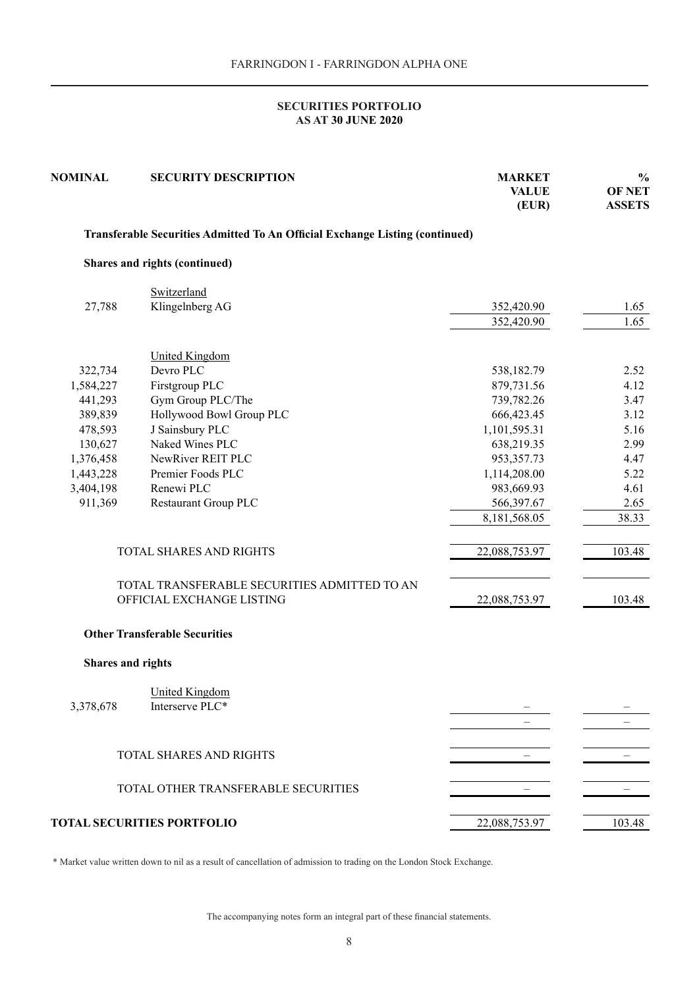| <b>SECURITY DESCRIPTION</b> | <b>MARKET</b><br><b>VALUE</b><br>(EUR)                                                                                                                                                                                                                                                                                                                                                                                                                                                                                                                                                             | $\frac{0}{0}$<br><b>OF NET</b><br><b>ASSETS</b>                                                                                                                                                                              |
|-----------------------------|----------------------------------------------------------------------------------------------------------------------------------------------------------------------------------------------------------------------------------------------------------------------------------------------------------------------------------------------------------------------------------------------------------------------------------------------------------------------------------------------------------------------------------------------------------------------------------------------------|------------------------------------------------------------------------------------------------------------------------------------------------------------------------------------------------------------------------------|
|                             |                                                                                                                                                                                                                                                                                                                                                                                                                                                                                                                                                                                                    |                                                                                                                                                                                                                              |
|                             |                                                                                                                                                                                                                                                                                                                                                                                                                                                                                                                                                                                                    |                                                                                                                                                                                                                              |
| Switzerland                 |                                                                                                                                                                                                                                                                                                                                                                                                                                                                                                                                                                                                    |                                                                                                                                                                                                                              |
| Klingelnberg AG             | 352,420.90                                                                                                                                                                                                                                                                                                                                                                                                                                                                                                                                                                                         | 1.65                                                                                                                                                                                                                         |
|                             | 352,420.90                                                                                                                                                                                                                                                                                                                                                                                                                                                                                                                                                                                         | 1.65                                                                                                                                                                                                                         |
|                             |                                                                                                                                                                                                                                                                                                                                                                                                                                                                                                                                                                                                    |                                                                                                                                                                                                                              |
|                             |                                                                                                                                                                                                                                                                                                                                                                                                                                                                                                                                                                                                    | 2.52                                                                                                                                                                                                                         |
|                             |                                                                                                                                                                                                                                                                                                                                                                                                                                                                                                                                                                                                    | 4.12                                                                                                                                                                                                                         |
|                             |                                                                                                                                                                                                                                                                                                                                                                                                                                                                                                                                                                                                    | 3.47                                                                                                                                                                                                                         |
|                             |                                                                                                                                                                                                                                                                                                                                                                                                                                                                                                                                                                                                    | 3.12                                                                                                                                                                                                                         |
|                             |                                                                                                                                                                                                                                                                                                                                                                                                                                                                                                                                                                                                    | 5.16                                                                                                                                                                                                                         |
|                             |                                                                                                                                                                                                                                                                                                                                                                                                                                                                                                                                                                                                    | 2.99                                                                                                                                                                                                                         |
|                             |                                                                                                                                                                                                                                                                                                                                                                                                                                                                                                                                                                                                    | 4.47                                                                                                                                                                                                                         |
|                             |                                                                                                                                                                                                                                                                                                                                                                                                                                                                                                                                                                                                    | 5.22                                                                                                                                                                                                                         |
|                             |                                                                                                                                                                                                                                                                                                                                                                                                                                                                                                                                                                                                    | 4.61                                                                                                                                                                                                                         |
|                             |                                                                                                                                                                                                                                                                                                                                                                                                                                                                                                                                                                                                    | 2.65                                                                                                                                                                                                                         |
|                             | 8,181,568.05                                                                                                                                                                                                                                                                                                                                                                                                                                                                                                                                                                                       | 38.33                                                                                                                                                                                                                        |
|                             | 22,088,753.97                                                                                                                                                                                                                                                                                                                                                                                                                                                                                                                                                                                      | 103.48                                                                                                                                                                                                                       |
|                             | 22,088,753.97                                                                                                                                                                                                                                                                                                                                                                                                                                                                                                                                                                                      | 103.48                                                                                                                                                                                                                       |
|                             |                                                                                                                                                                                                                                                                                                                                                                                                                                                                                                                                                                                                    |                                                                                                                                                                                                                              |
|                             |                                                                                                                                                                                                                                                                                                                                                                                                                                                                                                                                                                                                    |                                                                                                                                                                                                                              |
|                             |                                                                                                                                                                                                                                                                                                                                                                                                                                                                                                                                                                                                    |                                                                                                                                                                                                                              |
|                             |                                                                                                                                                                                                                                                                                                                                                                                                                                                                                                                                                                                                    |                                                                                                                                                                                                                              |
|                             |                                                                                                                                                                                                                                                                                                                                                                                                                                                                                                                                                                                                    |                                                                                                                                                                                                                              |
|                             |                                                                                                                                                                                                                                                                                                                                                                                                                                                                                                                                                                                                    |                                                                                                                                                                                                                              |
|                             |                                                                                                                                                                                                                                                                                                                                                                                                                                                                                                                                                                                                    |                                                                                                                                                                                                                              |
|                             |                                                                                                                                                                                                                                                                                                                                                                                                                                                                                                                                                                                                    |                                                                                                                                                                                                                              |
|                             |                                                                                                                                                                                                                                                                                                                                                                                                                                                                                                                                                                                                    |                                                                                                                                                                                                                              |
|                             | 22,088,753.97                                                                                                                                                                                                                                                                                                                                                                                                                                                                                                                                                                                      | 103.48                                                                                                                                                                                                                       |
|                             | Shares and rights (continued)<br><b>United Kingdom</b><br>Devro PLC<br>Firstgroup PLC<br>Gym Group PLC/The<br>Hollywood Bowl Group PLC<br>J Sainsbury PLC<br>Naked Wines PLC<br>NewRiver REIT PLC<br>Premier Foods PLC<br>Renewi PLC<br>Restaurant Group PLC<br>TOTAL SHARES AND RIGHTS<br>TOTAL TRANSFERABLE SECURITIES ADMITTED TO AN<br>OFFICIAL EXCHANGE LISTING<br><b>Other Transferable Securities</b><br><b>Shares and rights</b><br><b>United Kingdom</b><br>Interserve PLC*<br><b>TOTAL SHARES AND RIGHTS</b><br>TOTAL OTHER TRANSFERABLE SECURITIES<br><b>TOTAL SECURITIES PORTFOLIO</b> | Transferable Securities Admitted To An Official Exchange Listing (continued)<br>538,182.79<br>879,731.56<br>739,782.26<br>666,423.45<br>1,101,595.31<br>638,219.35<br>953,357.73<br>1,114,208.00<br>983,669.93<br>566,397.67 |

\* Market value written down to nil as a result of cancellation of admission to trading on the London Stock Exchange.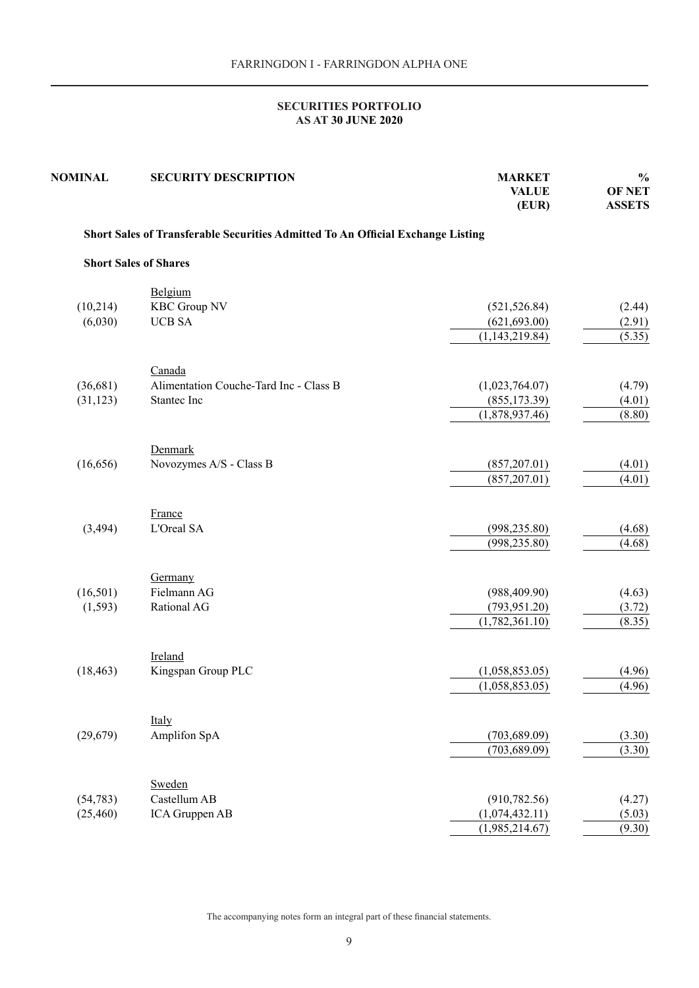| <b>NOMINAL</b> | <b>SECURITY DESCRIPTION</b>                                                     | <b>MARKET</b><br><b>VALUE</b><br>(EUR) | $\frac{0}{0}$<br><b>OF NET</b><br><b>ASSETS</b> |
|----------------|---------------------------------------------------------------------------------|----------------------------------------|-------------------------------------------------|
|                | Short Sales of Transferable Securities Admitted To An Official Exchange Listing |                                        |                                                 |
|                | <b>Short Sales of Shares</b>                                                    |                                        |                                                 |
|                | Belgium                                                                         |                                        |                                                 |
| (10,214)       | <b>KBC Group NV</b>                                                             | (521, 526.84)                          | (2.44)                                          |
| (6,030)        | <b>UCB SA</b>                                                                   | (621, 693.00)                          | (2.91)                                          |
|                |                                                                                 | (1, 143, 219.84)                       | (5.35)                                          |
|                | Canada                                                                          |                                        |                                                 |
| (36,681)       | Alimentation Couche-Tard Inc - Class B                                          | (1,023,764.07)                         | (4.79)                                          |
| (31, 123)      | Stantec Inc                                                                     | (855, 173.39)                          | (4.01)                                          |
|                |                                                                                 | (1,878,937.46)                         | (8.80)                                          |
| (16, 656)      | Denmark<br>Novozymes A/S - Class B                                              | (857,207.01)                           |                                                 |
|                |                                                                                 | (857,207.01)                           | (4.01)<br>(4.01)                                |
| (3, 494)       | France<br>L'Oreal SA                                                            | (998, 235.80)<br>(998, 235.80)         | (4.68)<br>(4.68)                                |
|                | Germany                                                                         |                                        |                                                 |
| (16, 501)      | Fielmann AG                                                                     | (988, 409.90)                          | (4.63)                                          |
| (1, 593)       | Rational AG                                                                     | (793, 951.20)                          | (3.72)                                          |
|                |                                                                                 | (1,782,361.10)                         | (8.35)                                          |
| (18, 463)      | Ireland<br>Kingspan Group PLC                                                   | (1,058,853.05)                         | (4.96)                                          |
|                |                                                                                 | (1,058,853.05)                         | (4.96)                                          |
|                |                                                                                 |                                        |                                                 |
|                | Italy<br>Amplifon SpA                                                           |                                        |                                                 |
| (29,679)       |                                                                                 | (703, 689.09)<br>(703, 689.09)         | (3.30)                                          |
|                |                                                                                 |                                        | (3.30)                                          |
|                | Sweden<br>Castellum AB                                                          |                                        |                                                 |
| (54, 783)      | ICA Gruppen AB                                                                  | (910, 782.56)                          | (4.27)                                          |
| (25, 460)      |                                                                                 | (1,074,432.11)<br>(1,985,214.67)       | (5.03)<br>(9.30)                                |
|                |                                                                                 |                                        |                                                 |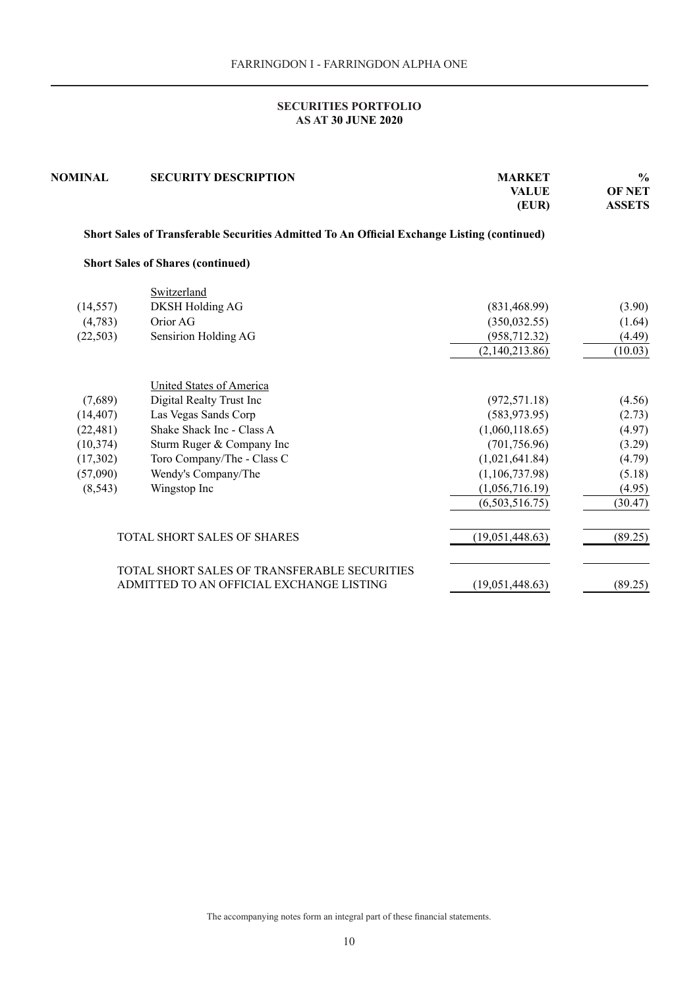| <b>NOMINAL</b> | <b>SECURITY DESCRIPTION</b>                                                                 | <b>MARKET</b><br><b>VALUE</b><br>(EUR) | $\frac{0}{0}$<br><b>OF NET</b><br><b>ASSETS</b> |
|----------------|---------------------------------------------------------------------------------------------|----------------------------------------|-------------------------------------------------|
|                | Short Sales of Transferable Securities Admitted To An Official Exchange Listing (continued) |                                        |                                                 |
|                | <b>Short Sales of Shares (continued)</b>                                                    |                                        |                                                 |
|                | Switzerland                                                                                 |                                        |                                                 |
| (14, 557)      | <b>DKSH Holding AG</b>                                                                      | (831, 468.99)                          | (3.90)                                          |
| (4,783)        | Orior AG                                                                                    | (350, 032.55)                          | (1.64)                                          |
| (22, 503)      | Sensirion Holding AG                                                                        | (958, 712.32)                          | (4.49)                                          |
|                |                                                                                             | (2,140,213.86)                         | (10.03)                                         |
|                | <b>United States of America</b>                                                             |                                        |                                                 |
| (7,689)        | Digital Realty Trust Inc                                                                    | (972, 571.18)                          | (4.56)                                          |
| (14, 407)      | Las Vegas Sands Corp                                                                        | (583, 973.95)                          | (2.73)                                          |
| (22, 481)      | Shake Shack Inc - Class A                                                                   | (1,060,118.65)                         | (4.97)                                          |
| (10, 374)      | Sturm Ruger & Company Inc                                                                   | (701, 756.96)                          | (3.29)                                          |
| (17,302)       | Toro Company/The - Class C                                                                  | (1,021,641.84)                         | (4.79)                                          |
| (57,090)       | Wendy's Company/The                                                                         | (1,106,737.98)                         | (5.18)                                          |
| (8, 543)       | Wingstop Inc                                                                                | (1,056,716.19)                         | (4.95)                                          |
|                |                                                                                             | (6,503,516.75)                         | (30.47)                                         |
|                | TOTAL SHORT SALES OF SHARES                                                                 | (19,051,448.63)                        | (89.25)                                         |
|                | TOTAL SHORT SALES OF TRANSFERABLE SECURITIES<br>ADMITTED TO AN OFFICIAL EXCHANGE LISTING    | (19,051,448.63)                        | (89.25)                                         |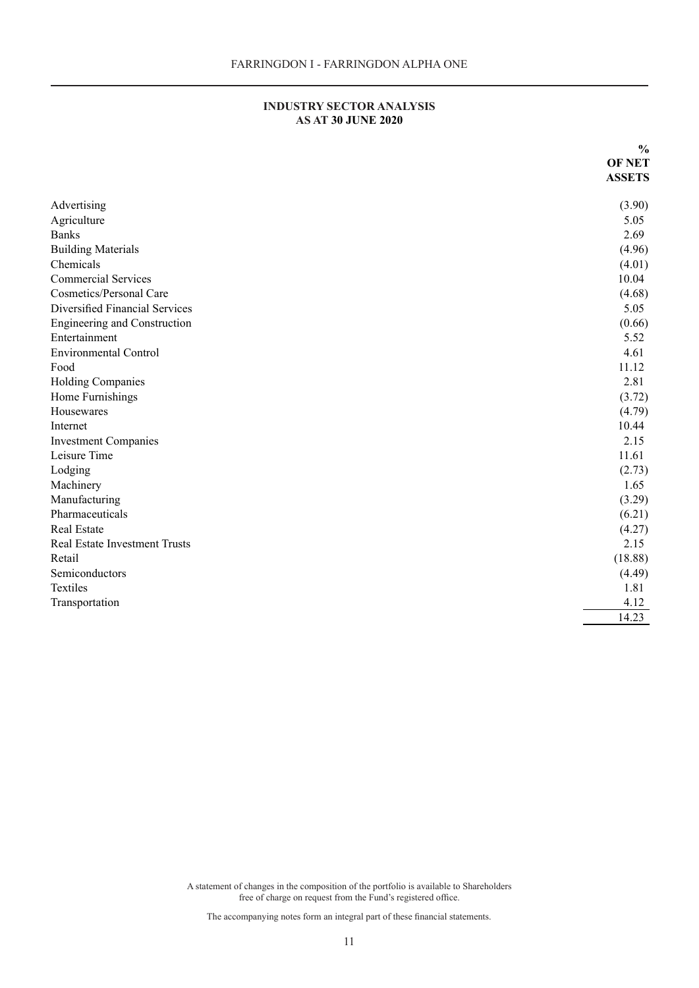| INDUSTRY SECTOR ANALYSIS  |
|---------------------------|
| <b>AS AT 30 JUNE 2020</b> |

<span id="page-10-0"></span>

|                                | $\frac{0}{0}$ |
|--------------------------------|---------------|
|                                | <b>OF NET</b> |
|                                | <b>ASSETS</b> |
|                                |               |
| Advertising                    | (3.90)        |
| Agriculture                    | 5.05          |
| <b>Banks</b>                   | 2.69          |
| <b>Building Materials</b>      | (4.96)        |
| Chemicals                      | (4.01)        |
| <b>Commercial Services</b>     | 10.04         |
| <b>Cosmetics/Personal Care</b> | (4.68)        |
| Diversified Financial Services | 5.05          |
| Engineering and Construction   | (0.66)        |
| Entertainment                  | 5.52          |
| <b>Environmental Control</b>   | 4.61          |
| Food                           | 11.12         |
| <b>Holding Companies</b>       | 2.81          |
| Home Furnishings               | (3.72)        |
| Housewares                     | (4.79)        |
| Internet                       | 10.44         |
| <b>Investment Companies</b>    | 2.15          |
| Leisure Time                   | 11.61         |
| Lodging                        | (2.73)        |
| Machinery                      | 1.65          |
| Manufacturing                  | (3.29)        |
| Pharmaceuticals                | (6.21)        |
| Real Estate                    | (4.27)        |
| Real Estate Investment Trusts  | 2.15          |
| Retail                         | (18.88)       |
| Semiconductors                 | (4.49)        |
| Textiles                       | 1.81          |
| Transportation                 | 4.12          |
|                                | 14.23         |

A statement of changes in the composition of the portfolio is available to Shareholders free of charge on request from the Fund's registered office.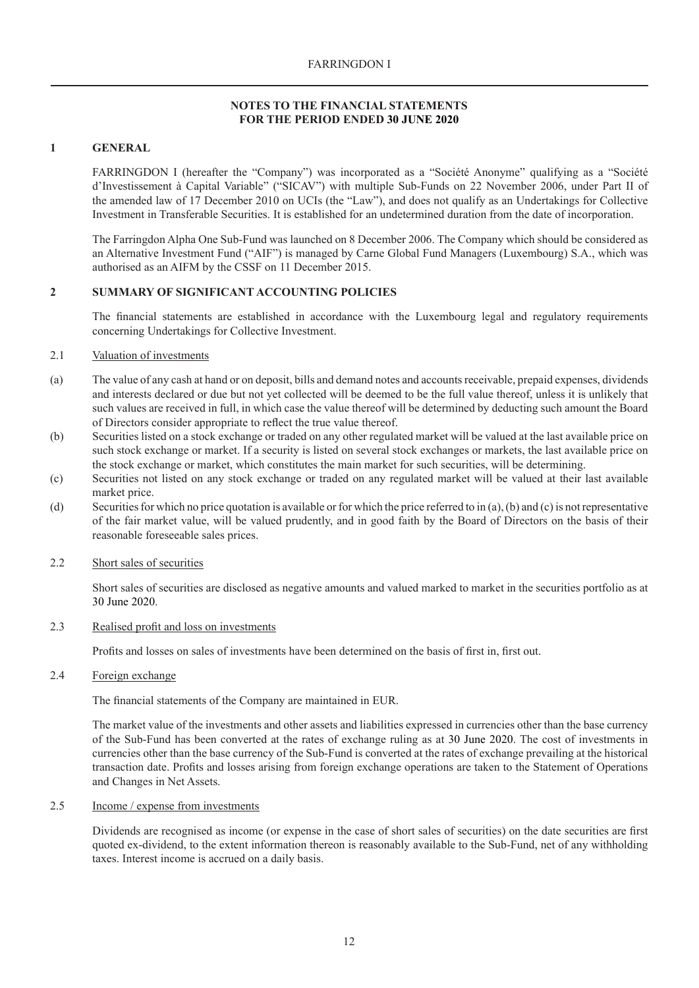### <span id="page-11-0"></span>**1 GENERAL**

FARRINGDON I (hereafter the "Company") was incorporated as a "Société Anonyme" qualifying as a "Société d'Investissement à Capital Variable" ("SICAV") with multiple Sub-Funds on 22 November 2006, under Part II of the amended law of 17 December 2010 on UCIs (the "Law"), and does not qualify as an Undertakings for Collective Investment in Transferable Securities. It is established for an undetermined duration from the date of incorporation.

The Farringdon Alpha One Sub-Fund was launched on 8 December 2006. The Company which should be considered as an Alternative Investment Fund ("AIF") is managed by Carne Global Fund Managers (Luxembourg) S.A., which was authorised as an AIFM by the CSSF on 11 December 2015.

## **2 SUMMARY OF SIGNIFICANT ACCOUNTING POLICIES**

The financial statements are established in accordance with the Luxembourg legal and regulatory requirements concerning Undertakings for Collective Investment.

#### 2.1 Valuation of investments

- (a) The value of any cash at hand or on deposit, bills and demand notes and accounts receivable, prepaid expenses, dividends and interests declared or due but not yet collected will be deemed to be the full value thereof, unless it is unlikely that such values are received in full, in which case the value thereof will be determined by deducting such amount the Board of Directors consider appropriate to reflect the true value thereof.
- (b) Securities listed on a stock exchange or traded on any other regulated market will be valued at the last available price on such stock exchange or market. If a security is listed on several stock exchanges or markets, the last available price on the stock exchange or market, which constitutes the main market for such securities, will be determining.
- (c) Securities not listed on any stock exchange or traded on any regulated market will be valued at their last available market price.
- (d) Securities for which no price quotation is available or for which the price referred to in (a), (b) and (c) is not representative of the fair market value, will be valued prudently, and in good faith by the Board of Directors on the basis of their reasonable foreseeable sales prices.

#### 2.2 Short sales of securities

Short sales of securities are disclosed as negative amounts and valued marked to market in the securities portfolio as at 30 June 2020.

#### 2.3 Realised profit and loss on investments

Profits and losses on sales of investments have been determined on the basis of first in, first out.

## 2.4 Foreign exchange

The financial statements of the Company are maintained in EUR.

The market value of the investments and other assets and liabilities expressed in currencies other than the base currency of the Sub-Fund has been converted at the rates of exchange ruling as at 30 June 2020. The cost of investments in currencies other than the base currency of the Sub-Fund is converted at the rates of exchange prevailing at the historical transaction date. Profits and losses arising from foreign exchange operations are taken to the Statement of Operations and Changes in Net Assets.

#### 2.5 Income / expense from investments

Dividends are recognised as income (or expense in the case of short sales of securities) on the date securities are first quoted ex-dividend, to the extent information thereon is reasonably available to the Sub-Fund, net of any withholding taxes. Interest income is accrued on a daily basis.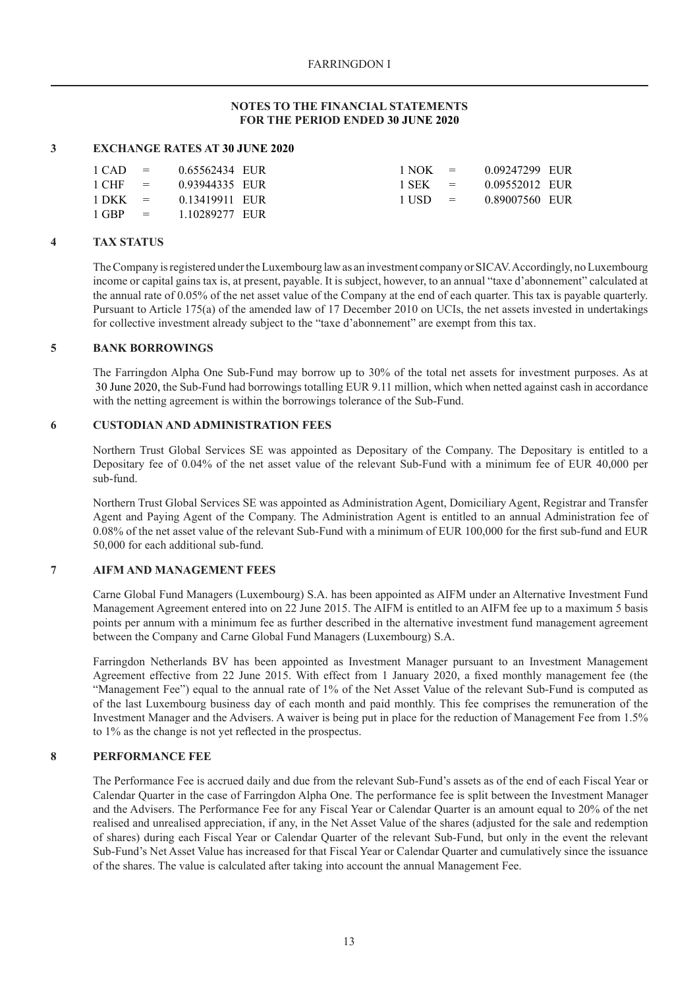### **3 EXCHANGE RATES AT 30 JUNE 2020**

|  | $1 \text{ CAD} = 0.65562434 \text{ EUR}$ |  | $1 NOK = 0.09247299$ EUR                 |  |
|--|------------------------------------------|--|------------------------------------------|--|
|  | $1 \text{ CHF} = 0.93944335 \text{ EUR}$ |  | $1$ SEK = $0.09552012$ EUR               |  |
|  | $1 \text{ DKK} = 0.13419911 \text{ EUR}$ |  | $1 \text{ USD} = 0.89007560 \text{ EUR}$ |  |
|  | $1$ GBP = $110289277$ EUR                |  |                                          |  |

## **4 TAX STATUS**

The Company is registered under the Luxembourg law as an investment company or SICAV. Accordingly, no Luxembourg income or capital gains tax is, at present, payable. It is subject, however, to an annual "taxe d'abonnement" calculated at the annual rate of 0.05% of the net asset value of the Company at the end of each quarter. This tax is payable quarterly. Pursuant to Article 175(a) of the amended law of 17 December 2010 on UCIs, the net assets invested in undertakings for collective investment already subject to the "taxe d'abonnement" are exempt from this tax.

### **5 BANK BORROWINGS**

The Farringdon Alpha One Sub-Fund may borrow up to 30% of the total net assets for investment purposes. As at 30 June 2020, the Sub-Fund had borrowings totalling EUR 9.11 million, which when netted against cash in accordance with the netting agreement is within the borrowings tolerance of the Sub-Fund.

## **6 CUSTODIAN AND ADMINISTRATION FEES**

Northern Trust Global Services SE was appointed as Depositary of the Company. The Depositary is entitled to a Depositary fee of 0.04% of the net asset value of the relevant Sub-Fund with a minimum fee of EUR 40,000 per sub-fund.

Northern Trust Global Services SE was appointed as Administration Agent, Domiciliary Agent, Registrar and Transfer Agent and Paying Agent of the Company. The Administration Agent is entitled to an annual Administration fee of 0.08% of the net asset value of the relevant Sub-Fund with a minimum of EUR 100,000 for the first sub-fund and EUR 50,000 for each additional sub-fund.

### **7 AIFM AND MANAGEMENT FEES**

Carne Global Fund Managers (Luxembourg) S.A. has been appointed as AIFM under an Alternative Investment Fund Management Agreement entered into on 22 June 2015. The AIFM is entitled to an AIFM fee up to a maximum 5 basis points per annum with a minimum fee as further described in the alternative investment fund management agreement between the Company and Carne Global Fund Managers (Luxembourg) S.A.

Farringdon Netherlands BV has been appointed as Investment Manager pursuant to an Investment Management Agreement effective from 22 June 2015. With effect from 1 January 2020, a fixed monthly management fee (the "Management Fee") equal to the annual rate of 1% of the Net Asset Value of the relevant Sub-Fund is computed as of the last Luxembourg business day of each month and paid monthly. This fee comprises the remuneration of the Investment Manager and the Advisers. A waiver is being put in place for the reduction of Management Fee from 1.5% to 1% as the change is not yet reflected in the prospectus.

## **8 PERFORMANCE FEE**

The Performance Fee is accrued daily and due from the relevant Sub-Fund's assets as of the end of each Fiscal Year or Calendar Quarter in the case of Farringdon Alpha One. The performance fee is split between the Investment Manager and the Advisers. The Performance Fee for any Fiscal Year or Calendar Quarter is an amount equal to 20% of the net realised and unrealised appreciation, if any, in the Net Asset Value of the shares (adjusted for the sale and redemption of shares) during each Fiscal Year or Calendar Quarter of the relevant Sub-Fund, but only in the event the relevant Sub-Fund's Net Asset Value has increased for that Fiscal Year or Calendar Quarter and cumulatively since the issuance of the shares. The value is calculated after taking into account the annual Management Fee.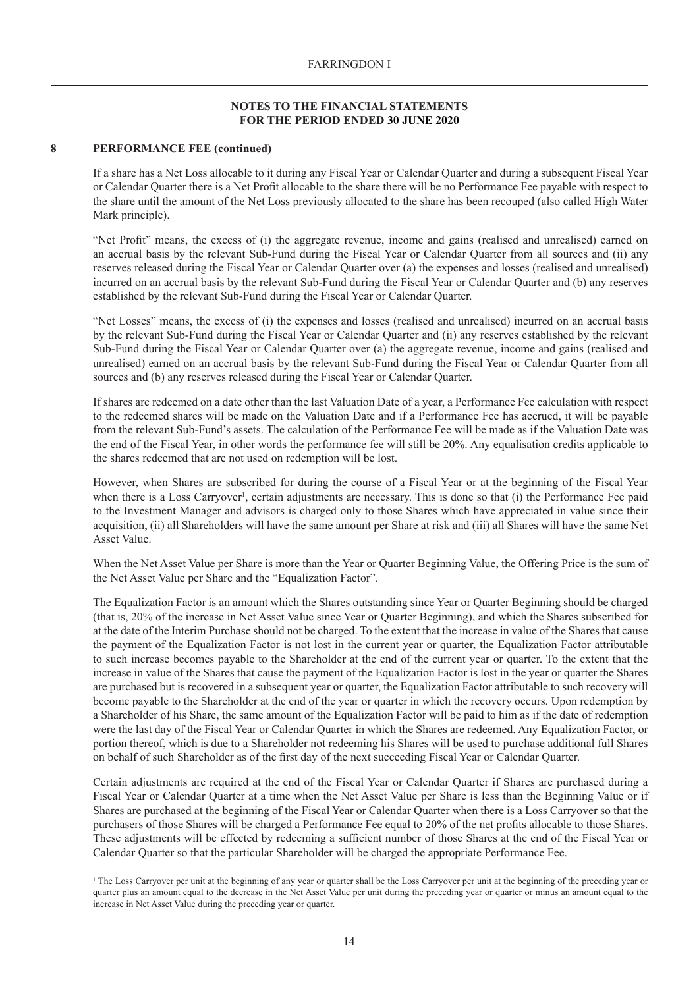### **8 PERFORMANCE FEE (continued)**

If a share has a Net Loss allocable to it during any Fiscal Year or Calendar Quarter and during a subsequent Fiscal Year or Calendar Quarter there is a Net Profit allocable to the share there will be no Performance Fee payable with respect to the share until the amount of the Net Loss previously allocated to the share has been recouped (also called High Water Mark principle).

"Net Profit" means, the excess of (i) the aggregate revenue, income and gains (realised and unrealised) earned on an accrual basis by the relevant Sub-Fund during the Fiscal Year or Calendar Quarter from all sources and (ii) any reserves released during the Fiscal Year or Calendar Quarter over (a) the expenses and losses (realised and unrealised) incurred on an accrual basis by the relevant Sub-Fund during the Fiscal Year or Calendar Quarter and (b) any reserves established by the relevant Sub-Fund during the Fiscal Year or Calendar Quarter.

"Net Losses" means, the excess of (i) the expenses and losses (realised and unrealised) incurred on an accrual basis by the relevant Sub-Fund during the Fiscal Year or Calendar Quarter and (ii) any reserves established by the relevant Sub-Fund during the Fiscal Year or Calendar Quarter over (a) the aggregate revenue, income and gains (realised and unrealised) earned on an accrual basis by the relevant Sub-Fund during the Fiscal Year or Calendar Quarter from all sources and (b) any reserves released during the Fiscal Year or Calendar Quarter.

If shares are redeemed on a date other than the last Valuation Date of a year, a Performance Fee calculation with respect to the redeemed shares will be made on the Valuation Date and if a Performance Fee has accrued, it will be payable from the relevant Sub-Fund's assets. The calculation of the Performance Fee will be made as if the Valuation Date was the end of the Fiscal Year, in other words the performance fee will still be 20%. Any equalisation credits applicable to the shares redeemed that are not used on redemption will be lost.

However, when Shares are subscribed for during the course of a Fiscal Year or at the beginning of the Fiscal Year when there is a Loss Carryover<sup>1</sup>, certain adjustments are necessary. This is done so that (i) the Performance Fee paid to the Investment Manager and advisors is charged only to those Shares which have appreciated in value since their acquisition, (ii) all Shareholders will have the same amount per Share at risk and (iii) all Shares will have the same Net Asset Value.

When the Net Asset Value per Share is more than the Year or Quarter Beginning Value, the Offering Price is the sum of the Net Asset Value per Share and the "Equalization Factor".

The Equalization Factor is an amount which the Shares outstanding since Year or Quarter Beginning should be charged (that is, 20% of the increase in Net Asset Value since Year or Quarter Beginning), and which the Shares subscribed for at the date of the Interim Purchase should not be charged. To the extent that the increase in value of the Shares that cause the payment of the Equalization Factor is not lost in the current year or quarter, the Equalization Factor attributable to such increase becomes payable to the Shareholder at the end of the current year or quarter. To the extent that the increase in value of the Shares that cause the payment of the Equalization Factor is lost in the year or quarter the Shares are purchased but is recovered in a subsequent year or quarter, the Equalization Factor attributable to such recovery will become payable to the Shareholder at the end of the year or quarter in which the recovery occurs. Upon redemption by a Shareholder of his Share, the same amount of the Equalization Factor will be paid to him as if the date of redemption were the last day of the Fiscal Year or Calendar Quarter in which the Shares are redeemed. Any Equalization Factor, or portion thereof, which is due to a Shareholder not redeeming his Shares will be used to purchase additional full Shares on behalf of such Shareholder as of the first day of the next succeeding Fiscal Year or Calendar Quarter.

Certain adjustments are required at the end of the Fiscal Year or Calendar Quarter if Shares are purchased during a Fiscal Year or Calendar Quarter at a time when the Net Asset Value per Share is less than the Beginning Value or if Shares are purchased at the beginning of the Fiscal Year or Calendar Quarter when there is a Loss Carryover so that the purchasers of those Shares will be charged a Performance Fee equal to 20% of the net profits allocable to those Shares. These adjustments will be effected by redeeming a sufficient number of those Shares at the end of the Fiscal Year or Calendar Quarter so that the particular Shareholder will be charged the appropriate Performance Fee.

<sup>1</sup> The Loss Carryover per unit at the beginning of any year or quarter shall be the Loss Carryover per unit at the beginning of the preceding year or quarter plus an amount equal to the decrease in the Net Asset Value per unit during the preceding year or quarter or minus an amount equal to the increase in Net Asset Value during the preceding year or quarter.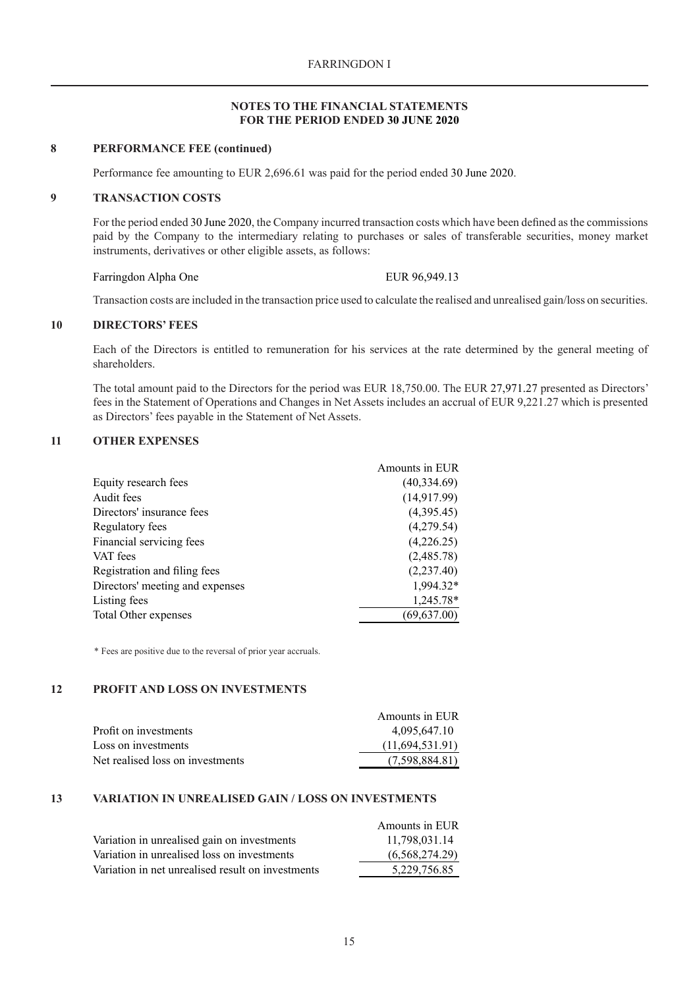#### **8 PERFORMANCE FEE (continued)**

Performance fee amounting to EUR 2,696.61 was paid for the period ended 30 June 2020.

#### **9 TRANSACTION COSTS**

For the period ended 30 June 2020, the Company incurred transaction costs which have been defined as the commissions paid by the Company to the intermediary relating to purchases or sales of transferable securities, money market instruments, derivatives or other eligible assets, as follows:

#### Farringdon Alpha One EUR 96.949.13

Transaction costs are included in the transaction price used to calculate the realised and unrealised gain/loss on securities.

#### **10 DIRECTORS' FEES**

Each of the Directors is entitled to remuneration for his services at the rate determined by the general meeting of shareholders.

The total amount paid to the Directors for the period was EUR 18,750.00. The EUR 27,971.27 presented as Directors' fees in the Statement of Operations and Changes in Net Assets includes an accrual of EUR 9,221.27 which is presented as Directors' fees payable in the Statement of Net Assets.

### **11 OTHER EXPENSES**

| Equity research fees<br>Audit fees<br>Directors' insurance fees |                 | Amounts in EUR |
|-----------------------------------------------------------------|-----------------|----------------|
|                                                                 |                 | (40, 334.69)   |
|                                                                 |                 | (14, 917.99)   |
|                                                                 |                 | (4,395.45)     |
|                                                                 | Regulatory fees | (4,279.54)     |
| Financial servicing fees                                        |                 | (4,226.25)     |
| VAT fees                                                        |                 | (2,485.78)     |
| Registration and filing fees                                    |                 | (2, 237.40)    |
| Directors' meeting and expenses                                 |                 | 1,994.32*      |
| Listing fees                                                    |                 | 1,245.78*      |
| Total Other expenses                                            |                 | (69, 637.00)   |

\* Fees are positive due to the reversal of prior year accruals.

## **12 PROFIT AND LOSS ON INVESTMENTS**

|                                  | Amounts in EUR  |
|----------------------------------|-----------------|
| Profit on investments            | 4,095,647.10    |
| Loss on investments              | (11,694,531.91) |
| Net realised loss on investments | (7,598,884.81)  |

### **13 VARIATION IN UNREALISED GAIN / LOSS ON INVESTMENTS**

|                                                   | Amounts in EUR |
|---------------------------------------------------|----------------|
| Variation in unrealised gain on investments       | 11,798,031.14  |
| Variation in unrealised loss on investments       | (6,568,274.29) |
| Variation in net unrealised result on investments | 5.229.756.85   |